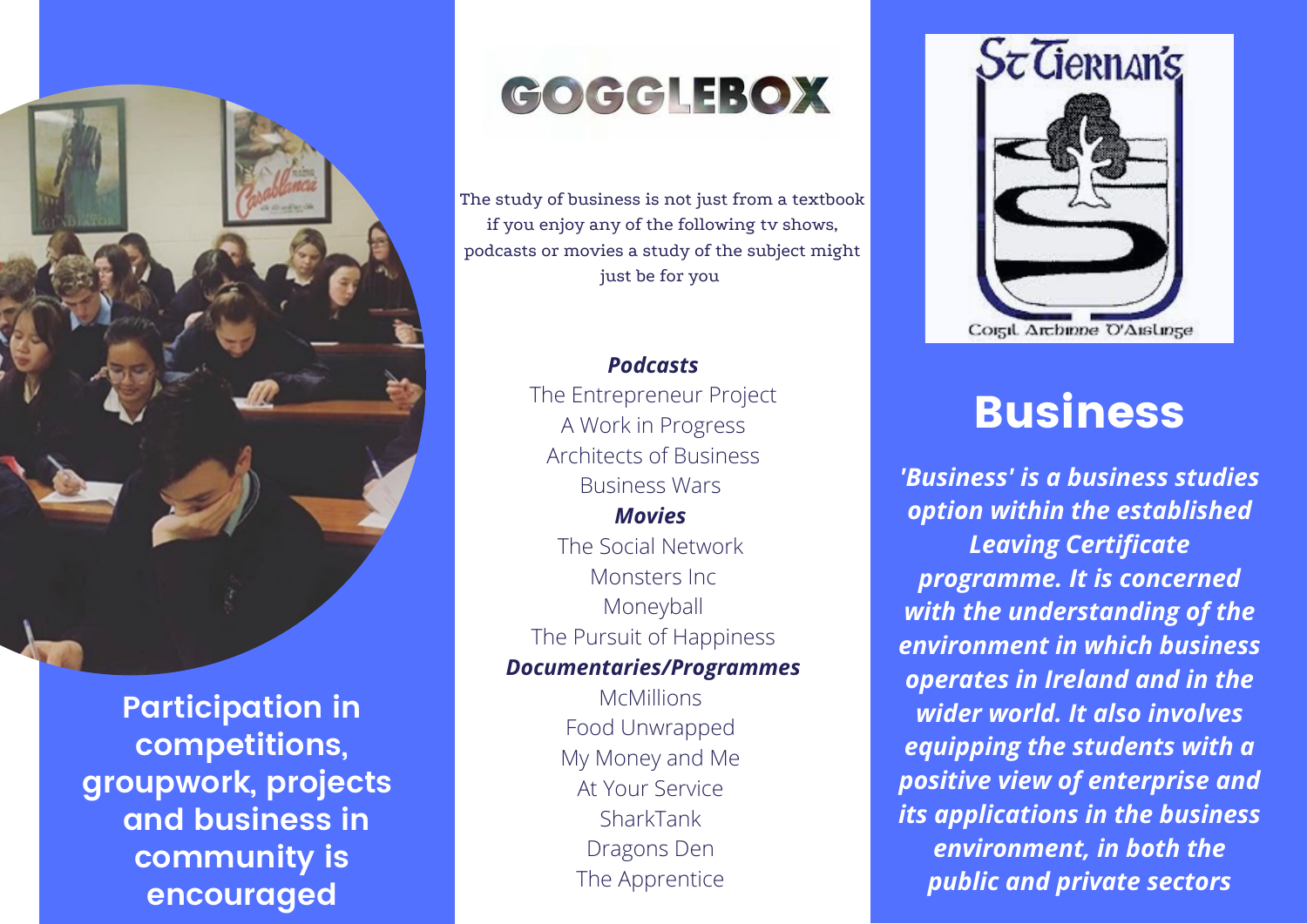

**Participation in competitions, groupwork, projects and business in community is encouraged**

## GOGGLEBOX

The study of business is not just from a textbook if you enjoy any of the following tv shows, podcasts or movies a study of the subject might just be for you

## *Podcasts* The Entrepreneur Project A Work in Progress Architects of Business Business Wars *Movies* The Social Network Monsters Inc Moneyball The Pursuit of Happiness *Documentaries/Programmes*

McMillions Food Unwrapped My Money and Me At Your Service SharkTank Dragons Den The Apprentice



## Business

*'Business' is a business studies option within the established Leaving Certificate programme. It is concerned with the understanding of the environment in which business operates in Ireland and in the wider world. It also involves equipping the students with a positive view of enterprise and its applications in the business environment, in both the public and private sectors*